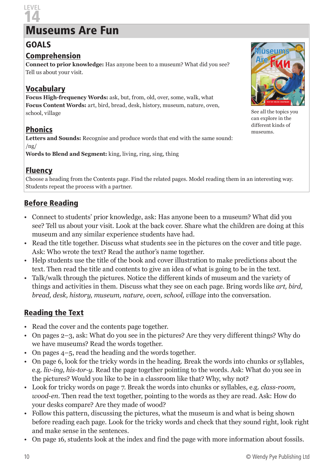# 14 Museums Are Fun

## GOALS

**LEVEL** 

#### Comprehension

**Connect to prior knowledge:** Has anyone been to a museum? What did you see? Tell us about your visit.

#### Vocabulary

**Focus High-frequency Words:** ask, but, from, old, over, some, walk, what **Focus Content Words:** art, bird, bread, desk, history, museum, nature, oven, school, village

## Phonics

**Letters and Sounds:** Recognise and produce words that end with the same sound:  $/$ ng $/$ 

**Words to Blend and Segment:** king, living, ring, sing, thing

#### Fluency

Choose a heading from the Contents page. Find the related pages. Model reading them in an interesting way. Students repeat the process with a partner.

## Before Reading

- Connect to students' prior knowledge, ask: Has anyone been to a museum? What did you see? Tell us about your visit. Look at the back cover. Share what the children are doing at this museum and any similar experience students have had.
- Read the title together. Discuss what students see in the pictures on the cover and title page. Ask: Who wrote the text? Read the author's name together.
- Help students use the title of the book and cover illustration to make predictions about the text. Then read the title and contents to give an idea of what is going to be in the text.
- Talk/walk through the pictures. Notice the different kinds of museum and the variety of things and activities in them. Discuss what they see on each page. Bring words like *art, bird, bread, desk, history, museum, nature, oven, school, village* into the conversation.

# Reading the Text

- Read the cover and the contents page together.
- On pages 2–3, ask: What do you see in the pictures? Are they very different things? Why do we have museums? Read the words together.
- On pages 4–5, read the heading and the words together.
- On page 6, look for the tricky words in the heading. Break the words into chunks or syllables, e.g. *liv-ing, his-tor-y*. Read the page together pointing to the words. Ask: What do you see in the pictures? Would you like to be in a classroom like that? Why, why not?
- Look for tricky words on page 7. Break the words into chunks or syllables, e.g. *class-room, wood-en*. Then read the text together, pointing to the words as they are read. Ask: How do your desks compare? Are they made of wood?
- Follow this pattern, discussing the pictures, what the museum is and what is being shown before reading each page. Look for the tricky words and check that they sound right, look right and make sense in the sentences.
- On page 16, students look at the index and find the page with more information about fossils.



See all the topics you can explore in the different kinds of museums.